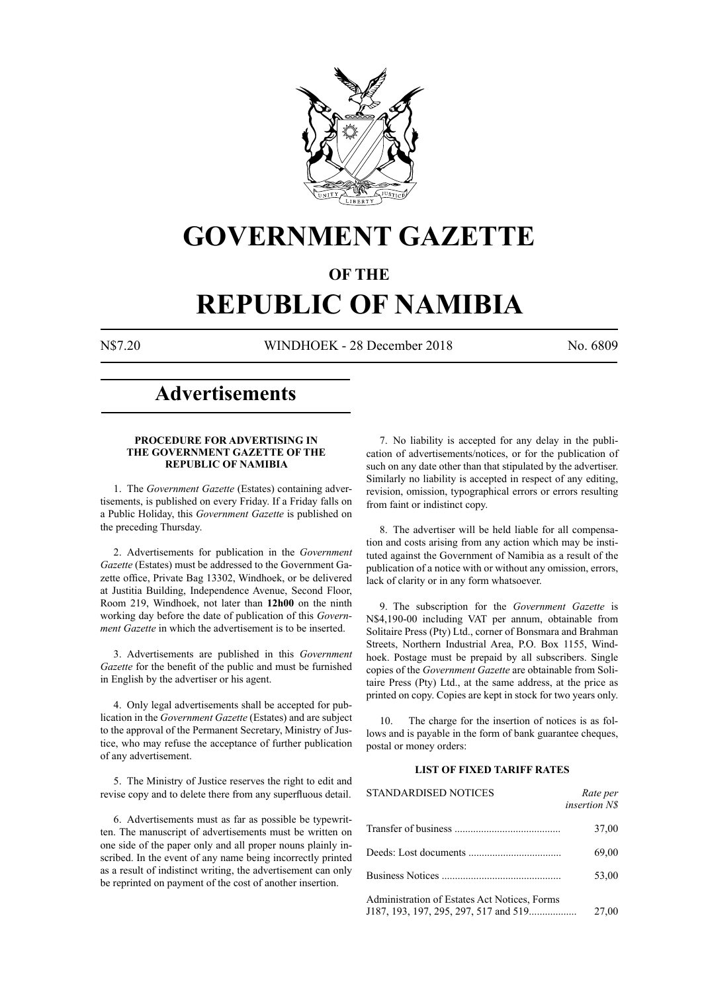

# **GOVERNMENT GAZETTE**

## **OF THE**

# **REPUBLIC OF NAMIBIA**

N\$7.20 WINDHOEK - 28 December 2018 No. 6809

## **Advertisements**

#### **PROCEDURE FOR ADVERTISING IN THE GOVERNMENT GAZETTE OF THE REPUBLIC OF NAMIBIA**

1. The *Government Gazette* (Estates) containing advertisements, is published on every Friday. If a Friday falls on a Public Holiday, this *Government Gazette* is published on the preceding Thursday.

2. Advertisements for publication in the *Government Gazette* (Estates) must be addressed to the Government Gazette office, Private Bag 13302, Windhoek, or be delivered at Justitia Building, Independence Avenue, Second Floor, Room 219, Windhoek, not later than **12h00** on the ninth working day before the date of publication of this *Government Gazette* in which the advertisement is to be inserted.

3. Advertisements are published in this *Government Gazette* for the benefit of the public and must be furnished in English by the advertiser or his agent.

4. Only legal advertisements shall be accepted for publication in the *Government Gazette* (Estates) and are subject to the approval of the Permanent Secretary, Ministry of Justice, who may refuse the acceptance of further publication of any advertisement.

5. The Ministry of Justice reserves the right to edit and revise copy and to delete there from any superfluous detail.

6. Advertisements must as far as possible be typewritten. The manuscript of advertisements must be written on one side of the paper only and all proper nouns plainly inscribed. In the event of any name being incorrectly printed as a result of indistinct writing, the advertisement can only be reprinted on payment of the cost of another insertion.

7. No liability is accepted for any delay in the publication of advertisements/notices, or for the publication of such on any date other than that stipulated by the advertiser. Similarly no liability is accepted in respect of any editing, revision, omission, typographical errors or errors resulting from faint or indistinct copy.

8. The advertiser will be held liable for all compensation and costs arising from any action which may be instituted against the Government of Namibia as a result of the publication of a notice with or without any omission, errors, lack of clarity or in any form whatsoever.

9. The subscription for the *Government Gazette* is N\$4,190-00 including VAT per annum, obtainable from Solitaire Press (Pty) Ltd., corner of Bonsmara and Brahman Streets, Northern Industrial Area, P.O. Box 1155, Windhoek. Postage must be prepaid by all subscribers. Single copies of the *Government Gazette* are obtainable from Solitaire Press (Pty) Ltd., at the same address, at the price as printed on copy. Copies are kept in stock for two years only.

10. The charge for the insertion of notices is as follows and is payable in the form of bank guarantee cheques, postal or money orders:

### **LIST OF FIXED TARIFF RATES**

| <b>STANDARDISED NOTICES</b>                                                           | Rate per<br><i>insertion NS</i> |
|---------------------------------------------------------------------------------------|---------------------------------|
|                                                                                       | 37,00                           |
|                                                                                       | 69,00                           |
|                                                                                       | 53,00                           |
| Administration of Estates Act Notices, Forms<br>J187, 193, 197, 295, 297, 517 and 519 | 27,00                           |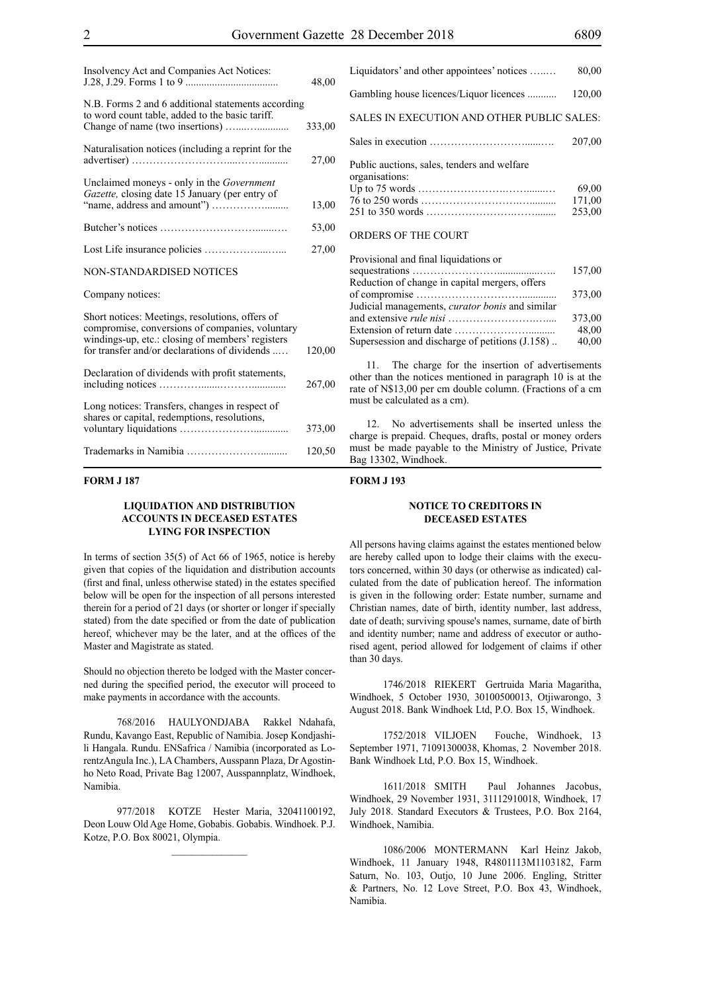| Insolvency Act and Companies Act Notices:                                                                                                                                                               | 48,00  |
|---------------------------------------------------------------------------------------------------------------------------------------------------------------------------------------------------------|--------|
| N.B. Forms 2 and 6 additional statements according<br>to word count table, added to the basic tariff.                                                                                                   | 333,00 |
| Naturalisation notices (including a reprint for the                                                                                                                                                     | 27,00  |
| Unclaimed moneys - only in the Government<br>Gazette, closing date 15 January (per entry of                                                                                                             | 13,00  |
|                                                                                                                                                                                                         | 53,00  |
|                                                                                                                                                                                                         | 27,00  |
| <b>NON-STANDARDISED NOTICES</b>                                                                                                                                                                         |        |
| Company notices:                                                                                                                                                                                        |        |
| Short notices: Meetings, resolutions, offers of<br>compromise, conversions of companies, voluntary<br>windings-up, etc.: closing of members' registers<br>for transfer and/or declarations of dividends | 120,00 |
| Declaration of dividends with profit statements,                                                                                                                                                        | 267,00 |
| Long notices: Transfers, changes in respect of<br>shares or capital, redemptions, resolutions,                                                                                                          | 373,00 |
|                                                                                                                                                                                                         | 120,50 |

#### **FORM J 187**

#### **LIQUIDATION AND DISTRIBUTION ACCOUNTS IN DECEASED ESTATES LYING FOR INSPECTION**

In terms of section 35(5) of Act 66 of 1965, notice is hereby given that copies of the liquidation and distribution accounts (first and final, unless otherwise stated) in the estates specified below will be open for the inspection of all persons interested therein for a period of 21 days (or shorter or longer if specially stated) from the date specified or from the date of publication hereof, whichever may be the later, and at the offices of the Master and Magistrate as stated.

Should no objection thereto be lodged with the Master concerned during the specified period, the executor will proceed to make payments in accordance with the accounts.

768/2016 HAULYONDJABA Rakkel Ndahafa, Rundu, Kavango East, Republic of Namibia. Josep Kondjashili Hangala. Rundu. ENSafrica / Namibia (incorporated as LorentzAngula Inc.), LA Chambers, Ausspann Plaza, Dr Agostinho Neto Road, Private Bag 12007, Ausspannplatz, Windhoek, Namibia.

977/2018 KOTZE Hester Maria, 32041100192, Deon Louw Old Age Home, Gobabis. Gobabis. Windhoek. P.J. Kotze, P.O. Box 80021, Olympia.

 $\mathcal{L}=\mathcal{L}^{\mathcal{L}}$ 

| Liquidators' and other appointees' notices                    | 80,00                     |
|---------------------------------------------------------------|---------------------------|
| Gambling house licences/Liquor licences                       | 120,00                    |
| SALES IN EXECUTION AND OTHER PUBLIC SALES:                    |                           |
|                                                               | 207,00                    |
| Public auctions, sales, tenders and welfare<br>organisations: | 69,00<br>171,00<br>253,00 |
| ORDERS OF THE COURT                                           |                           |
| $\cdots$ $\cdots$                                             |                           |

| Provisional and final liquidations or                  |        |
|--------------------------------------------------------|--------|
|                                                        | 157,00 |
| Reduction of change in capital mergers, offers         |        |
|                                                        | 373,00 |
| Judicial managements, <i>curator bonis</i> and similar |        |
|                                                        | 373,00 |
|                                                        | 48.00  |
| Supersession and discharge of petitions (J.158)        | 40,00  |
|                                                        |        |

11. The charge for the insertion of advertisements other than the notices mentioned in paragraph 10 is at the rate of N\$13,00 per cm double column. (Fractions of a cm must be calculated as a cm).

12. No advertisements shall be inserted unless the charge is prepaid. Cheques, drafts, postal or money orders must be made payable to the Ministry of Justice, Private Bag 13302, Windhoek.

#### **FORM J 193**

#### **NOTICE TO CREDITORS IN DECEASED ESTATES**

All persons having claims against the estates mentioned below are hereby called upon to lodge their claims with the executors concerned, within 30 days (or otherwise as indicated) calculated from the date of publication hereof. The information is given in the following order: Estate number, surname and Christian names, date of birth, identity number, last address, date of death; surviving spouse's names, surname, date of birth and identity number; name and address of executor or authorised agent, period allowed for lodgement of claims if other than 30 days.

1746/2018 RIEKERT Gertruida Maria Magaritha, Windhoek, 5 October 1930, 30100500013, Otjiwarongo, 3 August 2018. Bank Windhoek Ltd, P.O. Box 15, Windhoek.

1752/2018 VILJOEN Fouche, Windhoek, 13 September 1971, 71091300038, Khomas, 2 November 2018. Bank Windhoek Ltd, P.O. Box 15, Windhoek.

1611/2018 SMITH Paul Johannes Jacobus, Windhoek, 29 November 1931, 31112910018, Windhoek, 17 July 2018. Standard Executors & Trustees, P.O. Box 2164, Windhoek, Namibia.

1086/2006 MONTERMANN Karl Heinz Jakob, Windhoek, 11 January 1948, R4801113M1103182, Farm Saturn, No. 103, Outjo, 10 June 2006. Engling, Stritter & Partners, No. 12 Love Street, P.O. Box 43, Windhoek, Namibia.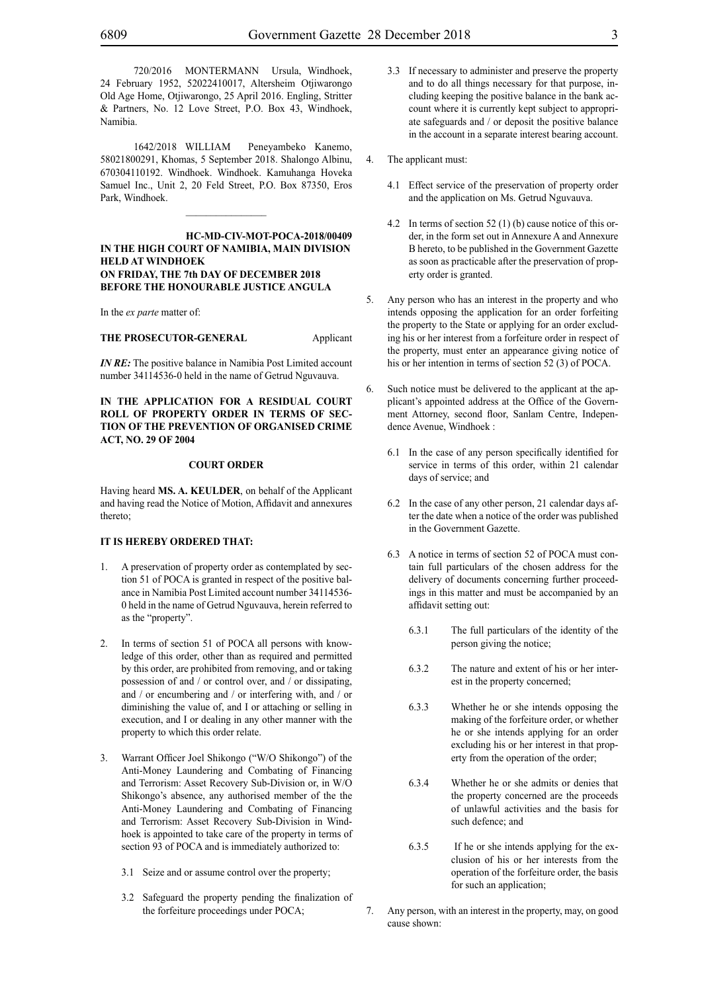720/2016 MONTERMANN Ursula, Windhoek, 24 February 1952, 52022410017, Altersheim Otjiwarongo Old Age Home, Otjiwarongo, 25 April 2016. Engling, Stritter & Partners, No. 12 Love Street, P.O. Box 43, Windhoek, Namibia.

1642/2018 WILLIAM Peneyambeko Kanemo, 58021800291, Khomas, 5 September 2018. Shalongo Albinu, 670304110192. Windhoek. Windhoek. Kamuhanga Hoveka Samuel Inc., Unit 2, 20 Feld Street, P.O. Box 87350, Eros Park, Windhoek.

 $\mathcal{L}=\mathcal{L}^{\mathcal{L}}$ 

**HC-MD-CIV-MOT-POCA-2018/00409 IN THE HIGH COURT OF NAMIBIA, MAIN DIVISION HELD AT WINDHOEK ON FRIDAY, THE 7th DAY OF DECEMBER 2018 BEFORE THE HONOURABLE JUSTICE ANGULA**

In the *ex parte* matter of:

**THE PROSECUTOR-GENERAL** Applicant

*IN RE:* The positive balance in Namibia Post Limited account number 34114536-0 held in the name of Getrud Nguvauva.

**IN THE APPLICATION FOR A RESIDUAL COURT ROLL OF PROPERTY ORDER IN TERMS OF SEC-TION OF THE PREVENTION OF ORGANISED CRIME ACT, NO. 29 OF 2004**

#### **COURT ORDER**

Having heard **MS. A. KEULDER**, on behalf of the Applicant and having read the Notice of Motion, Affidavit and annexures thereto;

#### **IT IS HEREBY ORDERED THAT:**

- 1. A preservation of property order as contemplated by section 51 of POCA is granted in respect of the positive balance in Namibia Post Limited account number 34114536- 0 held in the name of Getrud Nguvauva, herein referred to as the "property".
- 2. In terms of section 51 of POCA all persons with knowledge of this order, other than as required and permitted by this order, are prohibited from removing, and or taking possession of and / or control over, and / or dissipating, and / or encumbering and / or interfering with, and / or diminishing the value of, and I or attaching or selling in execution, and I or dealing in any other manner with the property to which this order relate.
- 3. Warrant Officer Joel Shikongo ("W/O Shikongo") of the Anti-Money Laundering and Combating of Financing and Terrorism: Asset Recovery Sub-Division or, in W/O Shikongo's absence, any authorised member of the the Anti-Money Laundering and Combating of Financing and Terrorism: Asset Recovery Sub-Division in Windhoek is appointed to take care of the property in terms of section 93 of POCA and is immediately authorized to:
	- 3.1 Seize and or assume control over the property;
	- 3.2 Safeguard the property pending the finalization of the forfeiture proceedings under POCA;
- 3.3 If necessary to administer and preserve the property and to do all things necessary for that purpose, including keeping the positive balance in the bank account where it is currently kept subject to appropriate safeguards and / or deposit the positive balance in the account in a separate interest bearing account.
- 4. The applicant must:
	- 4.1 Effect service of the preservation of property order and the application on Ms. Getrud Nguvauva.
	- 4.2 In terms of section 52 (1) (b) cause notice of this order, in the form set out in Annexure A and Annexure B hereto, to be published in the Government Gazette as soon as practicable after the preservation of property order is granted.
- 5. Any person who has an interest in the property and who intends opposing the application for an order forfeiting the property to the State or applying for an order excluding his or her interest from a forfeiture order in respect of the property, must enter an appearance giving notice of his or her intention in terms of section 52 (3) of POCA.
- 6. Such notice must be delivered to the applicant at the applicant's appointed address at the Office of the Government Attorney, second floor, Sanlam Centre, Independence Avenue, Windhoek :
	- 6.1 In the case of any person specifically identified for service in terms of this order, within 21 calendar days of service; and
	- 6.2 In the case of any other person, 21 calendar days after the date when a notice of the order was published in the Government Gazette.
	- 6.3 A notice in terms of section 52 of POCA must contain full particulars of the chosen address for the delivery of documents concerning further proceedings in this matter and must be accompanied by an affidavit setting out:
		- 6.3.1 The full particulars of the identity of the person giving the notice;
		- 6.3.2 The nature and extent of his or her interest in the property concerned;
		- 6.3.3 Whether he or she intends opposing the making of the forfeiture order, or whether he or she intends applying for an order excluding his or her interest in that property from the operation of the order;
		- 6.3.4 Whether he or she admits or denies that the property concerned are the proceeds of unlawful activities and the basis for such defence; and
		- 6.3.5 If he or she intends applying for the exclusion of his or her interests from the operation of the forfeiture order, the basis for such an application;
- 7. Any person, with an interest in the property, may, on good cause shown: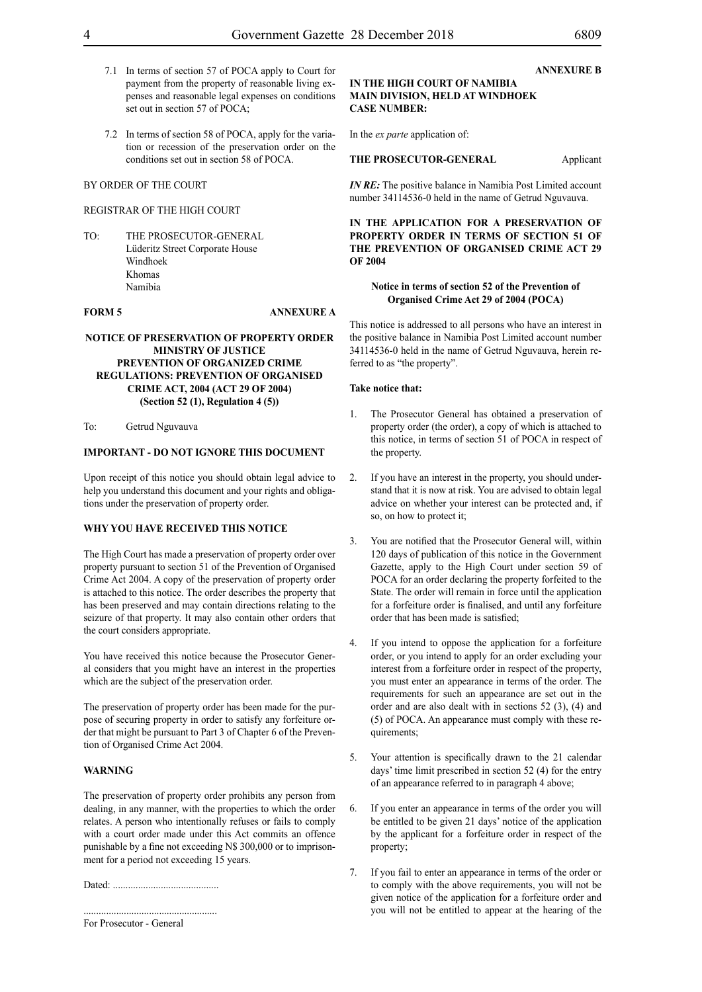- 7.1 In terms of section 57 of POCA apply to Court for payment from the property of reasonable living expenses and reasonable legal expenses on conditions set out in section 57 of POCA;
- 7.2 In terms of section 58 of POCA, apply for the variation or recession of the preservation order on the conditions set out in section 58 of POCA.

#### REGISTRAR OF THE HIGH COURT

TO: THE PROSECUTOR-GENERAL Lüderitz Street Corporate House Windhoek Khomas Namibia

#### **FORM 5 ANNEXURE A**

#### **NOTICE OF PRESERVATION OF PROPERTY ORDER MINISTRY OF JUSTICE PREVENTION OF ORGANIZED CRIME REGULATIONS: PREVENTION OF ORGANISED CRIME ACT, 2004 (ACT 29 OF 2004) (Section 52 (1), Regulation 4 (5))**

To: Getrud Nguvauva

#### **IMPORTANT - DO NOT IGNORE THIS DOCUMENT**

Upon receipt of this notice you should obtain legal advice to help you understand this document and your rights and obligations under the preservation of property order.

#### **WHY YOU HAVE RECEIVED THIS NOTICE**

The High Court has made a preservation of property order over property pursuant to section 51 of the Prevention of Organised Crime Act 2004. A copy of the preservation of property order is attached to this notice. The order describes the property that has been preserved and may contain directions relating to the seizure of that property. It may also contain other orders that the court considers appropriate.

You have received this notice because the Prosecutor General considers that you might have an interest in the properties which are the subject of the preservation order.

The preservation of property order has been made for the purpose of securing property in order to satisfy any forfeiture order that might be pursuant to Part 3 of Chapter 6 of the Prevention of Organised Crime Act 2004.

#### **WARNING**

The preservation of property order prohibits any person from dealing, in any manner, with the properties to which the order relates. A person who intentionally refuses or fails to comply with a court order made under this Act commits an offence punishable by a fine not exceeding N\$ 300,000 or to imprisonment for a period not exceeding 15 years.

Dated: ..........................................

.....................................................

For Prosecutor - General

#### **IN THE HIGH COURT OF NAMIBIA MAIN DIVISION, HELD AT WINDHOEK CASE NUMBER:**

In the *ex parte* application of:

#### **THE PROSECUTOR-GENERAL** Applicant

*IN RE:* The positive balance in Namibia Post Limited account number 34114536-0 held in the name of Getrud Nguvauva.

**IN THE APPLICATION FOR A PRESERVATION OF PROPERTY ORDER IN TERMS OF SECTION 51 OF THE PREVENTION OF ORGANISED CRIME ACT 29 OF 2004**

#### **Notice in terms of section 52 of the Prevention of Organised Crime Act 29 of 2004 (POCA)**

This notice is addressed to all persons who have an interest in the positive balance in Namibia Post Limited account number 34114536-0 held in the name of Getrud Nguvauva, herein referred to as "the property".

#### **Take notice that:**

- 1. The Prosecutor General has obtained a preservation of property order (the order), a copy of which is attached to this notice, in terms of section 51 of POCA in respect of the property.
- 2. If you have an interest in the property, you should understand that it is now at risk. You are advised to obtain legal advice on whether your interest can be protected and, if so, on how to protect it;
- 3. You are notified that the Prosecutor General will, within 120 days of publication of this notice in the Government Gazette, apply to the High Court under section 59 of POCA for an order declaring the property forfeited to the State. The order will remain in force until the application for a forfeiture order is finalised, and until any forfeiture order that has been made is satisfied;
- 4. If you intend to oppose the application for a forfeiture order, or you intend to apply for an order excluding your interest from a forfeiture order in respect of the property, you must enter an appearance in terms of the order. The requirements for such an appearance are set out in the order and are also dealt with in sections 52 (3), (4) and (5) of POCA. An appearance must comply with these requirements;
- 5. Your attention is specifically drawn to the 21 calendar days' time limit prescribed in section 52 (4) for the entry of an appearance referred to in paragraph 4 above;
- 6. If you enter an appearance in terms of the order you will be entitled to be given 21 days' notice of the application by the applicant for a forfeiture order in respect of the property;
- 7. If you fail to enter an appearance in terms of the order or to comply with the above requirements, you will not be given notice of the application for a forfeiture order and you will not be entitled to appear at the hearing of the

**ANNEXURE B**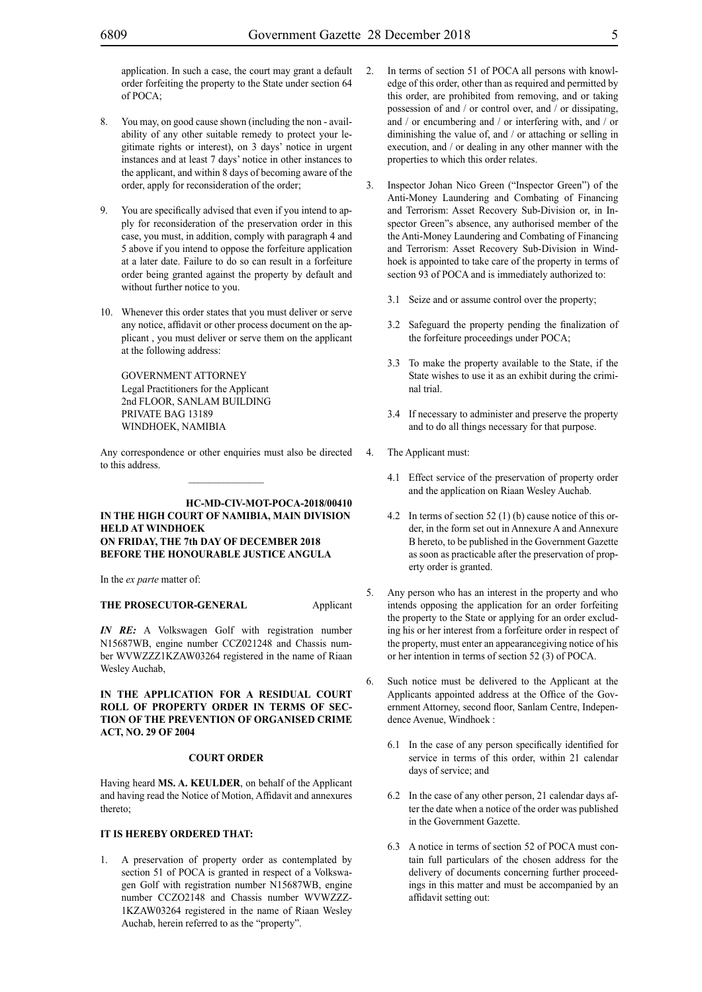application. In such a case, the court may grant a default order forfeiting the property to the State under section 64 of POCA;

- 8. You may, on good cause shown (including the non availability of any other suitable remedy to protect your legitimate rights or interest), on 3 days' notice in urgent instances and at least 7 days' notice in other instances to the applicant, and within 8 days of becoming aware of the order, apply for reconsideration of the order;
- 9. You are specifically advised that even if you intend to apply for reconsideration of the preservation order in this case, you must, in addition, comply with paragraph 4 and 5 above if you intend to oppose the forfeiture application at a later date. Failure to do so can result in a forfeiture order being granted against the property by default and without further notice to you.
- 10. Whenever this order states that you must deliver or serve any notice, affidavit or other process document on the applicant , you must deliver or serve them on the applicant at the following address:

GOVERNMENT ATTORNEY Legal Practitioners for the Applicant 2nd FLOOR, SANLAM BUILDING PRIVATE BAG 13189 WINDHOEK, NAMIBIA

Any correspondence or other enquiries must also be directed to this address.  $\frac{1}{2}$ 

#### **HC-MD-CIV-MOT-POCA-2018/00410 IN THE HIGH COURT OF NAMIBIA, MAIN DIVISION HELD AT WINDHOEK ON FRIDAY, THE 7th DAY OF DECEMBER 2018 BEFORE THE HONOURABLE JUSTICE ANGULA**

In the *ex parte* matter of:

#### **THE PROSECUTOR-GENERAL** Applicant

*IN RE:* A Volkswagen Golf with registration number N15687WB, engine number CCZ021248 and Chassis number WVWZZZ1KZAW03264 registered in the name of Riaan Wesley Auchab,

#### **IN THE APPLICATION FOR A RESIDUAL COURT ROLL OF PROPERTY ORDER IN TERMS OF SEC-TION OF THE PREVENTION OF ORGANISED CRIME ACT, NO. 29 OF 2004**

#### **COURT ORDER**

Having heard **MS. A. KEULDER**, on behalf of the Applicant and having read the Notice of Motion, Affidavit and annexures thereto;

#### **IT IS HEREBY ORDERED THAT:**

1. A preservation of property order as contemplated by section 51 of POCA is granted in respect of a Volkswagen Golf with registration number N15687WB, engine number CCZO2148 and Chassis number WVWZZZ-1KZAW03264 registered in the name of Riaan Wesley Auchab, herein referred to as the "property".

- 2. In terms of section 51 of POCA all persons with knowledge of this order, other than as required and permitted by this order, are prohibited from removing, and or taking possession of and / or control over, and / or dissipating, and / or encumbering and / or interfering with, and / or diminishing the value of, and / or attaching or selling in execution, and / or dealing in any other manner with the properties to which this order relates.
- 3. Inspector Johan Nico Green ("Inspector Green") of the Anti-Money Laundering and Combating of Financing and Terrorism: Asset Recovery Sub-Division or, in Inspector Green"s absence, any authorised member of the the Anti-Money Laundering and Combating of Financing and Terrorism: Asset Recovery Sub-Division in Windhoek is appointed to take care of the property in terms of section 93 of POCA and is immediately authorized to:
	- 3.1 Seize and or assume control over the property;
	- 3.2 Safeguard the property pending the finalization of the forfeiture proceedings under POCA;
	- 3.3 To make the property available to the State, if the State wishes to use it as an exhibit during the criminal trial.
	- 3.4 If necessary to administer and preserve the property and to do all things necessary for that purpose.
	- The Applicant must:
		- 4.1 Effect service of the preservation of property order and the application on Riaan Wesley Auchab.
		- 4.2 In terms of section 52 (1) (b) cause notice of this order, in the form set out in Annexure A and Annexure B hereto, to be published in the Government Gazette as soon as practicable after the preservation of property order is granted.
- 5. Any person who has an interest in the property and who intends opposing the application for an order forfeiting the property to the State or applying for an order excluding his or her interest from a forfeiture order in respect of the property, must enter an appearancegiving notice of his or her intention in terms of section 52 (3) of POCA.
- 6. Such notice must be delivered to the Applicant at the Applicants appointed address at the Office of the Government Attorney, second floor, Sanlam Centre, Independence Avenue, Windhoek :
	- 6.1 In the case of any person specifically identified for service in terms of this order, within 21 calendar days of service; and
	- 6.2 In the case of any other person, 21 calendar days after the date when a notice of the order was published in the Government Gazette.
	- 6.3 A notice in terms of section 52 of POCA must contain full particulars of the chosen address for the delivery of documents concerning further proceedings in this matter and must be accompanied by an affidavit setting out: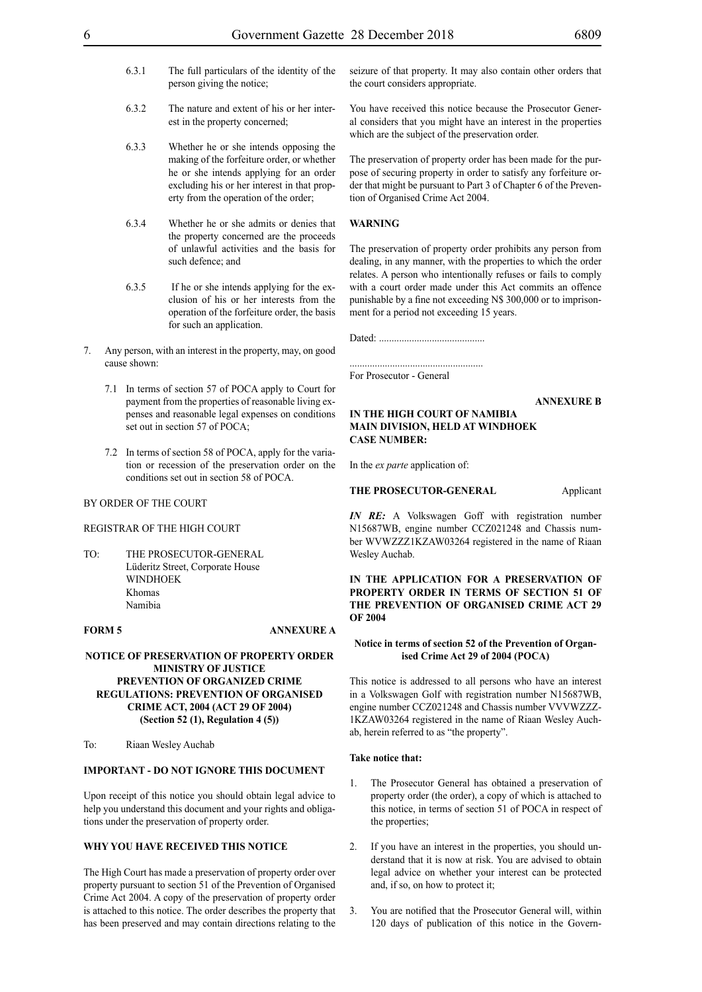- 6.3.1 The full particulars of the identity of the person giving the notice;
- 6.3.2 The nature and extent of his or her interest in the property concerned;
- 6.3.3 Whether he or she intends opposing the making of the forfeiture order, or whether he or she intends applying for an order excluding his or her interest in that property from the operation of the order;
- 6.3.4 Whether he or she admits or denies that the property concerned are the proceeds of unlawful activities and the basis for such defence; and
- 6.3.5 If he or she intends applying for the exclusion of his or her interests from the operation of the forfeiture order, the basis for such an application.
- 7. Any person, with an interest in the property, may, on good cause shown:
	- 7.1 In terms of section 57 of POCA apply to Court for payment from the properties of reasonable living expenses and reasonable legal expenses on conditions set out in section 57 of POCA;
	- 7.2 In terms of section 58 of POCA, apply for the variation or recession of the preservation order on the conditions set out in section 58 of POCA.

#### REGISTRAR OF THE HIGH COURT

TO: THE PROSECUTOR-GENERAL Lüderitz Street, Corporate House WINDHOEK Khomas Namibia

#### **FORM 5 ANNEXURE A**

**NOTICE OF PRESERVATION OF PROPERTY ORDER MINISTRY OF JUSTICE PREVENTION OF ORGANIZED CRIME REGULATIONS: PREVENTION OF ORGANISED CRIME ACT, 2004 (ACT 29 OF 2004) (Section 52 (1), Regulation 4 (5))**

To: Riaan Wesley Auchab

#### **IMPORTANT - DO NOT IGNORE THIS DOCUMENT**

Upon receipt of this notice you should obtain legal advice to help you understand this document and your rights and obligations under the preservation of property order.

## **WHY YOU HAVE RECEIVED THIS NOTICE**

The High Court has made a preservation of property order over property pursuant to section 51 of the Prevention of Organised Crime Act 2004. A copy of the preservation of property order is attached to this notice. The order describes the property that has been preserved and may contain directions relating to the

seizure of that property. It may also contain other orders that the court considers appropriate.

You have received this notice because the Prosecutor General considers that you might have an interest in the properties which are the subject of the preservation order.

The preservation of property order has been made for the purpose of securing property in order to satisfy any forfeiture order that might be pursuant to Part 3 of Chapter 6 of the Prevention of Organised Crime Act 2004.

#### **WARNING**

The preservation of property order prohibits any person from dealing, in any manner, with the properties to which the order relates. A person who intentionally refuses or fails to comply with a court order made under this Act commits an offence punishable by a fine not exceeding N\$ 300,000 or to imprisonment for a period not exceeding 15 years.

Dated: ..........................................

For Prosecutor - General

**ANNEXURE B**

#### **IN THE HIGH COURT OF NAMIBIA MAIN DIVISION, HELD AT WINDHOEK CASE NUMBER:**

In the *ex parte* application of:

#### **THE PROSECUTOR-GENERAL Applicant**

*IN RE:* A Volkswagen Goff with registration number N15687WB, engine number CCZ021248 and Chassis number WVWZZZ1KZAW03264 registered in the name of Riaan Wesley Auchab.

**IN THE APPLICATION FOR A PRESERVATION OF PROPERTY ORDER IN TERMS OF SECTION 51 OF THE PREVENTION OF ORGANISED CRIME ACT 29 OF 2004**

#### **Notice in terms of section 52 of the Prevention of Organised Crime Act 29 of 2004 (POCA)**

This notice is addressed to all persons who have an interest in a Volkswagen Golf with registration number N15687WB, engine number CCZ021248 and Chassis number VVVWZZZ-1KZAW03264 registered in the name of Riaan Wesley Auchab, herein referred to as "the property".

#### **Take notice that:**

- 1. The Prosecutor General has obtained a preservation of property order (the order), a copy of which is attached to this notice, in terms of section 51 of POCA in respect of the properties;
- 2. If you have an interest in the properties, you should understand that it is now at risk. You are advised to obtain legal advice on whether your interest can be protected and, if so, on how to protect it;
- 3. You are notified that the Prosecutor General will, within 120 days of publication of this notice in the Govern-

.....................................................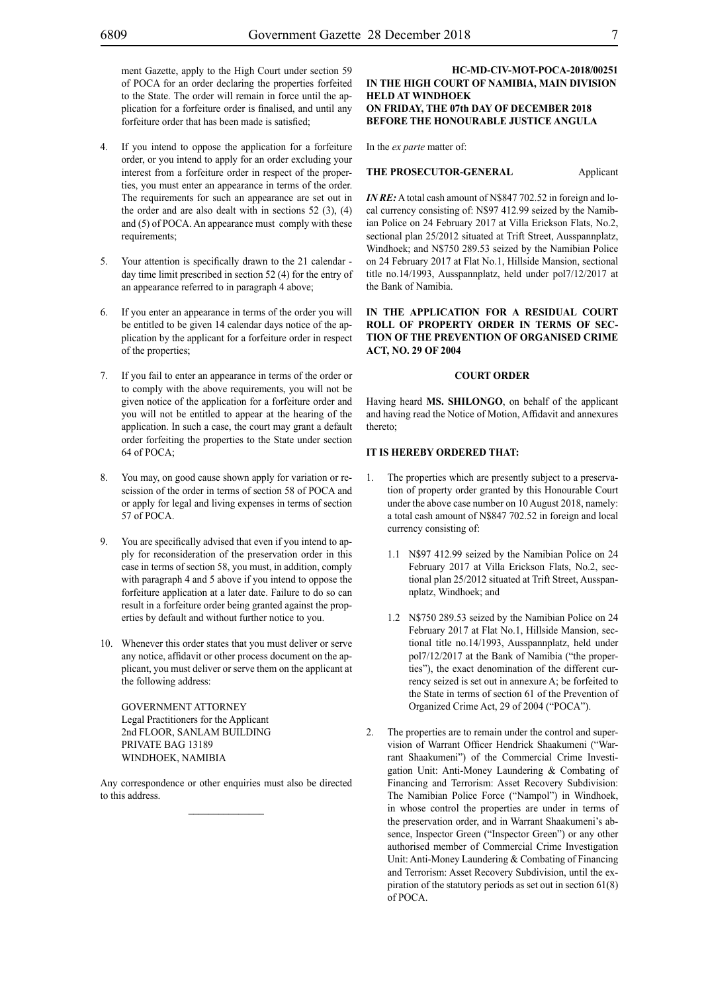ment Gazette, apply to the High Court under section 59 of POCA for an order declaring the properties forfeited to the State. The order will remain in force until the application for a forfeiture order is finalised, and until any forfeiture order that has been made is satisfied;

- 4. If you intend to oppose the application for a forfeiture order, or you intend to apply for an order excluding your interest from a forfeiture order in respect of the properties, you must enter an appearance in terms of the order. The requirements for such an appearance are set out in the order and are also dealt with in sections  $52$  (3), (4) and (5) of POCA. An appearance must comply with these requirements;
- 5. Your attention is specifically drawn to the 21 calendar day time limit prescribed in section 52 (4) for the entry of an appearance referred to in paragraph 4 above;
- 6. If you enter an appearance in terms of the order you will be entitled to be given 14 calendar days notice of the application by the applicant for a forfeiture order in respect of the properties;
- If you fail to enter an appearance in terms of the order or to comply with the above requirements, you will not be given notice of the application for a forfeiture order and you will not be entitled to appear at the hearing of the application. In such a case, the court may grant a default order forfeiting the properties to the State under section 64 of POCA;
- 8. You may, on good cause shown apply for variation or rescission of the order in terms of section 58 of POCA and or apply for legal and living expenses in terms of section 57 of POCA.
- 9. You are specifically advised that even if you intend to apply for reconsideration of the preservation order in this case in terms of section 58, you must, in addition, comply with paragraph 4 and 5 above if you intend to oppose the forfeiture application at a later date. Failure to do so can result in a forfeiture order being granted against the properties by default and without further notice to you.
- 10. Whenever this order states that you must deliver or serve any notice, affidavit or other process document on the applicant, you must deliver or serve them on the applicant at the following address:

GOVERNMENT ATTORNEY Legal Practitioners for the Applicant 2nd FLOOR, SANLAM BUILDING PRIVATE BAG 13189 WINDHOEK, NAMIBIA

Any correspondence or other enquiries must also be directed to this address.

#### **HC-MD-CIV-MOT-POCA-2018/00251 IN THE HIGH COURT OF NAMIBIA, MAIN DIVISION HELD AT WINDHOEK ON FRIDAY, THE 07th DAY OF DECEMBER 2018 BEFORE THE HONOURABLE JUSTICE ANGULA**

In the *ex parte* matter of:

#### **THE PROSECUTOR-GENERAL** Applicant

*IN RE*: A total cash amount of N\$847 702.52 in foreign and local currency consisting of: N\$97 412.99 seized by the Namibian Police on 24 February 2017 at Villa Erickson Flats, No.2, sectional plan 25/2012 situated at Trift Street, Ausspannplatz, Windhoek; and N\$750 289.53 seized by the Namibian Police on 24 February 2017 at Flat No.1, Hillside Mansion, sectional title no.14/1993, Ausspannplatz, held under pol7/12/2017 at the Bank of Namibia.

#### **IN THE APPLICATION FOR A RESIDUAL COURT ROLL OF PROPERTY ORDER IN TERMS OF SEC-TION OF THE PREVENTION OF ORGANISED CRIME ACT, NO. 29 OF 2004**

#### **COURT ORDER**

Having heard **MS. SHILONGO**, on behalf of the applicant and having read the Notice of Motion, Affidavit and annexures thereto;

#### **IT IS HEREBY ORDERED THAT:**

- 1. The properties which are presently subject to a preservation of property order granted by this Honourable Court under the above case number on 10 August 2018, namely: a total cash amount of N\$847 702.52 in foreign and local currency consisting of:
	- 1.1 N\$97 412.99 seized by the Namibian Police on 24 February 2017 at Villa Erickson Flats, No.2, sectional plan 25/2012 situated at Trift Street, Ausspannplatz, Windhoek; and
	- 1.2 N\$750 289.53 seized by the Namibian Police on 24 February 2017 at Flat No.1, Hillside Mansion, sectional title no.14/1993, Ausspannplatz, held under pol7/12/2017 at the Bank of Namibia ("the properties"), the exact denomination of the different currency seized is set out in annexure A; be forfeited to the State in terms of section 61 of the Prevention of Organized Crime Act, 29 of 2004 ("POCA").
- 2. The properties are to remain under the control and supervision of Warrant Officer Hendrick Shaakumeni ("Warrant Shaakumeni") of the Commercial Crime Investigation Unit: Anti-Money Laundering & Combating of Financing and Terrorism: Asset Recovery Subdivision: The Namibian Police Force ("Nampol") in Windhoek, in whose control the properties are under in terms of the preservation order, and in Warrant Shaakumeni's absence, Inspector Green ("Inspector Green") or any other authorised member of Commercial Crime Investigation Unit: Anti-Money Laundering & Combating of Financing and Terrorism: Asset Recovery Subdivision, until the expiration of the statutory periods as set out in section 61(8) of POCA.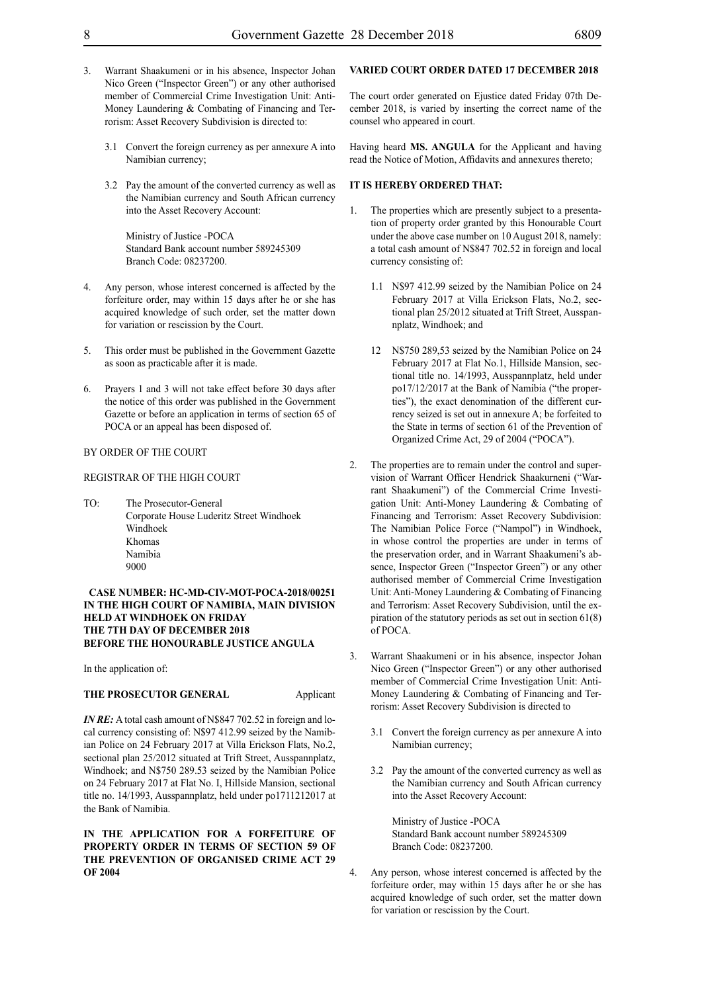- 3. Warrant Shaakumeni or in his absence, Inspector Johan Nico Green ("Inspector Green") or any other authorised member of Commercial Crime Investigation Unit: Anti-Money Laundering & Combating of Financing and Terrorism: Asset Recovery Subdivision is directed to:
	- 3.1 Convert the foreign currency as per annexure A into Namibian currency;
	- 3.2 Pay the amount of the converted currency as well as the Namibian currency and South African currency into the Asset Recovery Account:

Ministry of Justice -POCA Standard Bank account number 589245309 Branch Code: 08237200.

- 4. Any person, whose interest concerned is affected by the forfeiture order, may within 15 days after he or she has acquired knowledge of such order, set the matter down for variation or rescission by the Court.
- 5. This order must be published in the Government Gazette as soon as practicable after it is made.
- 6. Prayers 1 and 3 will not take effect before 30 days after the notice of this order was published in the Government Gazette or before an application in terms of section 65 of POCA or an appeal has been disposed of.

#### BY ORDER OF THE COURT

#### REGISTRAR OF THE HIGH COURT

TO: The Prosecutor-General Corporate House Luderitz Street Windhoek Windhoek Khomas Namibia 9000

#### **CASE NUMBER: HC-MD-CIV-MOT-POCA-2018/00251 IN THE HIGH COURT OF NAMIBIA, MAIN DIVISION HELD AT WINDHOEK ON FRIDAY THE 7TH DAY OF DECEMBER 2018 BEFORE THE HONOURABLE JUSTICE ANGULA**

In the application of:

#### **THE PROSECUTOR GENERAL** Applicant

*IN RE:* A total cash amount of N\$847 702.52 in foreign and local currency consisting of: N\$97 412.99 seized by the Namibian Police on 24 February 2017 at Villa Erickson Flats, No.2, sectional plan 25/2012 situated at Trift Street, Ausspannplatz, Windhoek; and N\$750 289.53 seized by the Namibian Police on 24 February 2017 at Flat No. I, Hillside Mansion, sectional title no. 14/1993, Ausspannplatz, held under po1711212017 at the Bank of Namibia.

#### **IN THE APPLICATION FOR A FORFEITURE OF PROPERTY ORDER IN TERMS OF SECTION 59 OF THE PREVENTION OF ORGANISED CRIME ACT 29 OF 2004**

### **VARIED COURT ORDER DATED 17 DECEMBER 2018**

The court order generated on Ejustice dated Friday 07th December 2018, is varied by inserting the correct name of the counsel who appeared in court.

Having heard **MS. ANGULA** for the Applicant and having read the Notice of Motion, Affidavits and annexures thereto;

#### **IT IS HEREBY ORDERED THAT:**

- 1. The properties which are presently subject to a presentation of property order granted by this Honourable Court under the above case number on 10 August 2018, namely: a total cash amount of N\$847 702.52 in foreign and local currency consisting of:
	- 1.1 N\$97 412.99 seized by the Namibian Police on 24 February 2017 at Villa Erickson Flats, No.2, sectional plan 25/2012 situated at Trift Street, Ausspannplatz, Windhoek; and
	- 12 N\$750 289,53 seized by the Namibian Police on 24 February 2017 at Flat No.1, Hillside Mansion, sectional title no. 14/1993, Ausspannplatz, held under po17/12/2017 at the Bank of Namibia ("the properties"), the exact denomination of the different currency seized is set out in annexure A; be forfeited to the State in terms of section 61 of the Prevention of Organized Crime Act, 29 of 2004 ("POCA").
- 2. The properties are to remain under the control and supervision of Warrant Officer Hendrick Shaakurneni ("Warrant Shaakumeni") of the Commercial Crime Investigation Unit: Anti-Money Laundering & Combating of Financing and Terrorism: Asset Recovery Subdivision: The Namibian Police Force ("Nampol") in Windhoek, in whose control the properties are under in terms of the preservation order, and in Warrant Shaakumeni's absence, Inspector Green ("Inspector Green") or any other authorised member of Commercial Crime Investigation Unit: Anti-Money Laundering & Combating of Financing and Terrorism: Asset Recovery Subdivision, until the expiration of the statutory periods as set out in section 61(8) of POCA.
- 3. Warrant Shaakumeni or in his absence, inspector Johan Nico Green ("Inspector Green") or any other authorised member of Commercial Crime Investigation Unit: Anti-Money Laundering & Combating of Financing and Terrorism: Asset Recovery Subdivision is directed to
	- 3.1 Convert the foreign currency as per annexure A into Namibian currency;
	- 3.2 Pay the amount of the converted currency as well as the Namibian currency and South African currency into the Asset Recovery Account:

Ministry of Justice -POCA Standard Bank account number 589245309 Branch Code: 08237200.

4. Any person, whose interest concerned is affected by the forfeiture order, may within 15 days after he or she has acquired knowledge of such order, set the matter down for variation or rescission by the Court.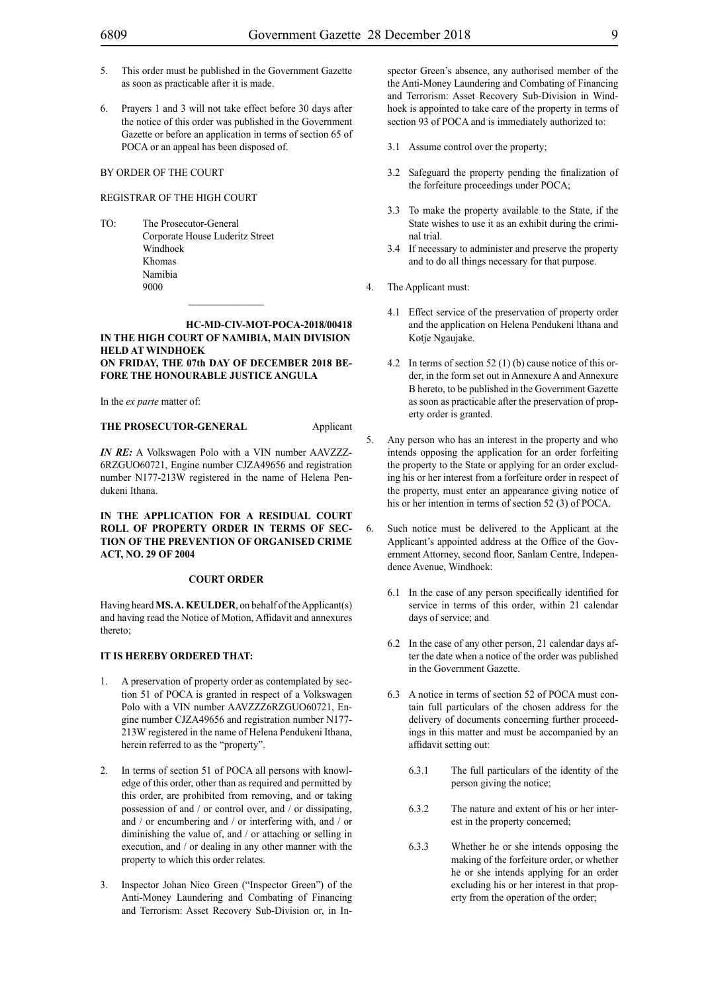- 5. This order must be published in the Government Gazette as soon as practicable after it is made.
- 6. Prayers 1 and 3 will not take effect before 30 days after the notice of this order was published in the Government Gazette or before an application in terms of section 65 of POCA or an appeal has been disposed of.

#### REGISTRAR OF THE HIGH COURT

TO: The Prosecutor-General Corporate House Luderitz Street Windhoek Khomas Namibia 9000

#### **HC-MD-CIV-MOT-POCA-2018/00418 IN THE HIGH COURT OF NAMIBIA, MAIN DIVISION HELD AT WINDHOEK ON FRIDAY, THE 07th DAY OF DECEMBER 2018 BE-FORE THE HONOURABLE JUSTICE ANGULA**

 $\frac{1}{2}$ 

In the *ex parte* matter of:

**THE PROSECUTOR-GENERAL** Applicant

*IN RE:* A Volkswagen Polo with a VIN number AAVZZZ-6RZGUO60721, Engine number CJZA49656 and registration number N177-213W registered in the name of Helena Pendukeni Ithana.

**IN THE APPLICATION FOR A RESIDUAL COURT ROLL OF PROPERTY ORDER IN TERMS OF SEC-TION OF THE PREVENTION OF ORGANISED CRIME ACT, NO. 29 OF 2004**

#### **COURT ORDER**

Having heard **MS. A. KEULDER**, on behalf of the Applicant(s) and having read the Notice of Motion, Affidavit and annexures thereto;

#### **IT IS HEREBY ORDERED THAT:**

- 1. A preservation of property order as contemplated by section 51 of POCA is granted in respect of a Volkswagen Polo with a VIN number AAVZZZ6RZGUO60721, Engine number CJZA49656 and registration number N177- 213W registered in the name of Helena Pendukeni Ithana, herein referred to as the "property".
- 2. In terms of section 51 of POCA all persons with knowledge of this order, other than as required and permitted by this order, are prohibited from removing, and or taking possession of and / or control over, and / or dissipating, and / or encumbering and / or interfering with, and / or diminishing the value of, and / or attaching or selling in execution, and / or dealing in any other manner with the property to which this order relates.
- 3. Inspector Johan Nico Green ("Inspector Green") of the Anti-Money Laundering and Combating of Financing and Terrorism: Asset Recovery Sub-Division or, in In-

spector Green's absence, any authorised member of the the Anti-Money Laundering and Combating of Financing and Terrorism: Asset Recovery Sub-Division in Windhoek is appointed to take care of the property in terms of section 93 of POCA and is immediately authorized to:

- 3.1 Assume control over the property;
- 3.2 Safeguard the property pending the finalization of the forfeiture proceedings under POCA;
- 3.3 To make the property available to the State, if the State wishes to use it as an exhibit during the criminal trial.
- 3.4 If necessary to administer and preserve the property and to do all things necessary for that purpose.
- 4. The Applicant must:
	- 4.1 Effect service of the preservation of property order and the application on Helena Pendukeni lthana and Kotje Ngaujake.
	- 4.2 In terms of section 52 (1) (b) cause notice of this order, in the form set out in Annexure A and Annexure B hereto, to be published in the Government Gazette as soon as practicable after the preservation of property order is granted.
- 5. Any person who has an interest in the property and who intends opposing the application for an order forfeiting the property to the State or applying for an order excluding his or her interest from a forfeiture order in respect of the property, must enter an appearance giving notice of his or her intention in terms of section 52 (3) of POCA.
- 6. Such notice must be delivered to the Applicant at the Applicant's appointed address at the Office of the Government Attorney, second floor, Sanlam Centre, Independence Avenue, Windhoek:
	- 6.1 In the case of any person specifically identified for service in terms of this order, within 21 calendar days of service; and
	- 6.2 In the case of any other person, 21 calendar days after the date when a notice of the order was published in the Government Gazette.
	- 6.3 A notice in terms of section 52 of POCA must contain full particulars of the chosen address for the delivery of documents concerning further proceedings in this matter and must be accompanied by an affidavit setting out:
		- 6.3.1 The full particulars of the identity of the person giving the notice;
		- 6.3.2 The nature and extent of his or her interest in the property concerned;
		- 6.3.3 Whether he or she intends opposing the making of the forfeiture order, or whether he or she intends applying for an order excluding his or her interest in that property from the operation of the order;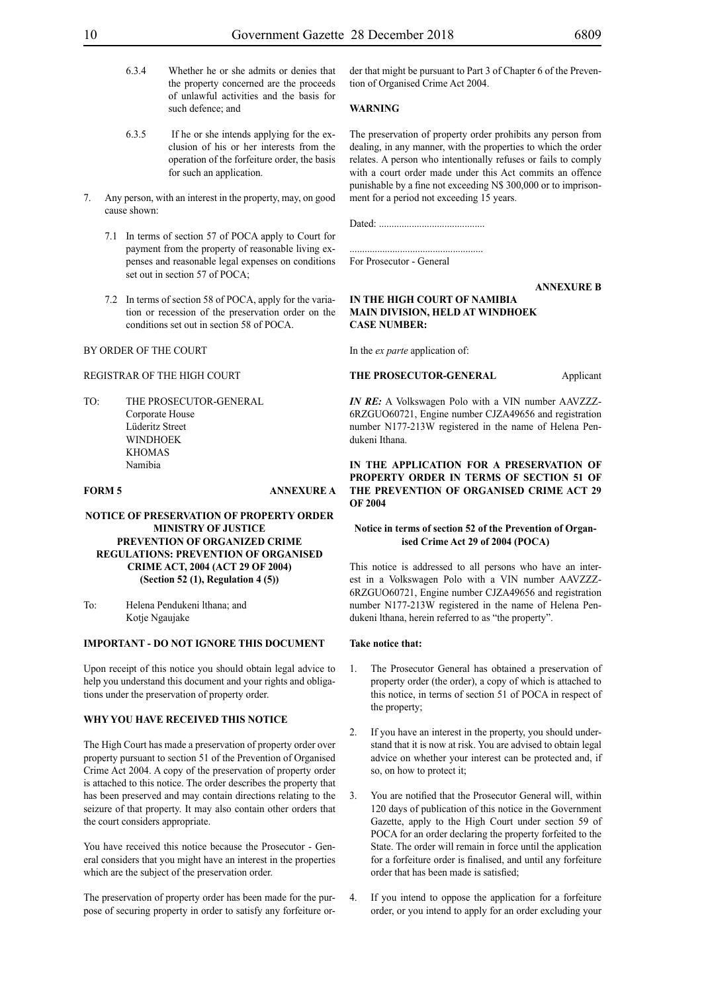- 6.3.4 Whether he or she admits or denies that the property concerned are the proceeds of unlawful activities and the basis for such defence; and
- 6.3.5 If he or she intends applying for the exclusion of his or her interests from the operation of the forfeiture order, the basis for such an application.
- Any person, with an interest in the property, may, on good cause shown:
	- 7.1 In terms of section 57 of POCA apply to Court for payment from the property of reasonable living expenses and reasonable legal expenses on conditions set out in section 57 of POCA;
	- 7.2 In terms of section 58 of POCA, apply for the variation or recession of the preservation order on the conditions set out in section 58 of POCA.

#### REGISTRAR OF THE HIGH COURT

TO: THE PROSECUTOR-GENERAL Corporate House Lüderitz Street WINDHOEK KHOMAS Namibia

#### **FORM 5 ANNEXURE A**

#### **NOTICE OF PRESERVATION OF PROPERTY ORDER MINISTRY OF JUSTICE PREVENTION OF ORGANIZED CRIME REGULATIONS: PREVENTION OF ORGANISED CRIME ACT, 2004 (ACT 29 OF 2004) (Section 52 (1), Regulation 4 (5))**

To: Helena Pendukeni lthana; and Kotje Ngaujake

#### **IMPORTANT - DO NOT IGNORE THIS DOCUMENT**

Upon receipt of this notice you should obtain legal advice to help you understand this document and your rights and obligations under the preservation of property order.

#### **WHY YOU HAVE RECEIVED THIS NOTICE**

The High Court has made a preservation of property order over property pursuant to section 51 of the Prevention of Organised Crime Act 2004. A copy of the preservation of property order is attached to this notice. The order describes the property that has been preserved and may contain directions relating to the seizure of that property. It may also contain other orders that the court considers appropriate.

You have received this notice because the Prosecutor - General considers that you might have an interest in the properties which are the subject of the preservation order.

The preservation of property order has been made for the purpose of securing property in order to satisfy any forfeiture order that might be pursuant to Part 3 of Chapter 6 of the Prevention of Organised Crime Act 2004.

#### **WARNING**

The preservation of property order prohibits any person from dealing, in any manner, with the properties to which the order relates. A person who intentionally refuses or fails to comply with a court order made under this Act commits an offence punishable by a fine not exceeding N\$ 300,000 or to imprisonment for a period not exceeding 15 years.

Dated: ..........................................

..................................................... For Prosecutor - General

**ANNEXURE B**

#### **IN THE HIGH COURT OF NAMIBIA MAIN DIVISION, HELD AT WINDHOEK CASE NUMBER:**

In the *ex parte* application of:

#### **THE PROSECUTOR-GENERAL** Applicant

*IN RE:* A Volkswagen Polo with a VIN number AAVZZZ-6RZGUO60721, Engine number CJZA49656 and registration number N177-213W registered in the name of Helena Pendukeni Ithana.

**IN THE APPLICATION FOR A PRESERVATION OF PROPERTY ORDER IN TERMS OF SECTION 51 OF THE PREVENTION OF ORGANISED CRIME ACT 29 OF 2004**

#### **Notice in terms of section 52 of the Prevention of Organised Crime Act 29 of 2004 (POCA)**

This notice is addressed to all persons who have an interest in a Volkswagen Polo with a VIN number AAVZZZ-6RZGUO60721, Engine number CJZA49656 and registration number N177-213W registered in the name of Helena Pendukeni lthana, herein referred to as "the property".

#### **Take notice that:**

- 1. The Prosecutor General has obtained a preservation of property order (the order), a copy of which is attached to this notice, in terms of section 51 of POCA in respect of the property;
- 2. If you have an interest in the property, you should understand that it is now at risk. You are advised to obtain legal advice on whether your interest can be protected and, if so, on how to protect it;
- 3. You are notified that the Prosecutor General will, within 120 days of publication of this notice in the Government Gazette, apply to the High Court under section 59 of POCA for an order declaring the property forfeited to the State. The order will remain in force until the application for a forfeiture order is finalised, and until any forfeiture order that has been made is satisfied;
- 4. If you intend to oppose the application for a forfeiture order, or you intend to apply for an order excluding your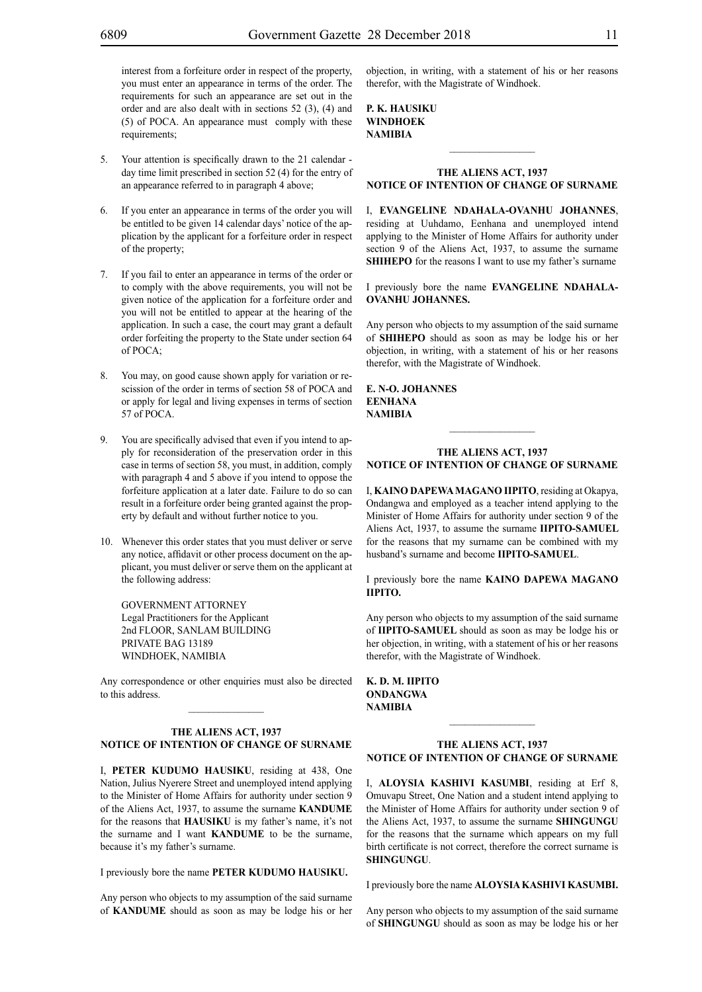interest from a forfeiture order in respect of the property, you must enter an appearance in terms of the order. The requirements for such an appearance are set out in the order and are also dealt with in sections 52 (3), (4) and (5) of POCA. An appearance must comply with these requirements;

- 5. Your attention is specifically drawn to the 21 calendar day time limit prescribed in section 52 (4) for the entry of an appearance referred to in paragraph 4 above;
- 6. If you enter an appearance in terms of the order you will be entitled to be given 14 calendar days' notice of the application by the applicant for a forfeiture order in respect of the property;
- 7. If you fail to enter an appearance in terms of the order or to comply with the above requirements, you will not be given notice of the application for a forfeiture order and you will not be entitled to appear at the hearing of the application. In such a case, the court may grant a default order forfeiting the property to the State under section 64 of POCA;
- 8. You may, on good cause shown apply for variation or rescission of the order in terms of section 58 of POCA and or apply for legal and living expenses in terms of section 57 of POCA.
- 9. You are specifically advised that even if you intend to apply for reconsideration of the preservation order in this case in terms of section 58, you must, in addition, comply with paragraph 4 and 5 above if you intend to oppose the forfeiture application at a later date. Failure to do so can result in a forfeiture order being granted against the property by default and without further notice to you.
- 10. Whenever this order states that you must deliver or serve any notice, affidavit or other process document on the applicant, you must deliver or serve them on the applicant at the following address:

GOVERNMENT ATTORNEY Legal Practitioners for the Applicant 2nd FLOOR, SANLAM BUILDING PRIVATE BAG 13189 WINDHOEK, NAMIBIA

Any correspondence or other enquiries must also be directed to this address.  $\mathcal{L}_\text{max}$ 

#### **THE ALIENS ACT, 1937 NOTICE OF INTENTION OF CHANGE OF SURNAME**

I, **peter kudumo hausiku**, residing at 438, One Nation, Julius Nyerere Street and unemployed intend applying to the Minister of Home Affairs for authority under section 9 of the Aliens Act, 1937, to assume the surname **KANDUME** for the reasons that **HAUSIKU** is my father's name, it's not the surname and I want **KANDUME** to be the surname, because it's my father's surname.

I previously bore the name **PETER KUDUMO HAUSIKU.** 

Any person who objects to my assumption of the said surname of **KANDUME** should as soon as may be lodge his or her objection, in writing, with a statement of his or her reasons therefor, with the Magistrate of Windhoek.

**p. k. hausiku WINDHOEK NAMIBIA**

### **THE ALIENS ACT, 1937 NOTICE OF INTENTION OF CHANGE OF SURNAME**

 $\frac{1}{2}$ 

I, **Evangeline Ndahala-OVANHU johannes**, residing at Uuhdamo, Eenhana and unemployed intend applying to the Minister of Home Affairs for authority under section 9 of the Aliens Act, 1937, to assume the surname **SHIHEPO** for the reasons I want to use my father's surname

I previously bore the name **EVANGELINE NDAHALA-OVANHU johannes.**

Any person who objects to my assumption of the said surname of **shihepo** should as soon as may be lodge his or her objection, in writing, with a statement of his or her reasons therefor, with the Magistrate of Windhoek.

**E. N-O. johannes Eenhana NAMIBIA**

#### **THE ALIENS ACT, 1937 NOTICE OF INTENTION OF CHANGE OF SURNAME**

 $\frac{1}{2}$ 

I, **kaino dapewamagano iipito**, residing at Okapya, Ondangwa and employed as a teacher intend applying to the Minister of Home Affairs for authority under section 9 of the Aliens Act, 1937, to assume the surname **IIPITO-SAMUEL**  for the reasons that my surname can be combined with my husband's surname and become **IIPITO-SAMUEL**.

I previously bore the name **kaino dapewa magano iipito.**

Any person who objects to my assumption of the said surname of **IIPITO-SAMUEL** should as soon as may be lodge his or her objection, in writing, with a statement of his or her reasons therefor, with the Magistrate of Windhoek.

**k. d. m. iipito ondangwa NAMIBIA**

#### **THE ALIENS ACT, 1937 NOTICE OF INTENTION OF CHANGE OF SURNAME**

I, **ALOYSIA KASHIVI KASUMBI**, residing at Erf 8, Omuvapu Street, One Nation and a student intend applying to the Minister of Home Affairs for authority under section 9 of the Aliens Act, 1937, to assume the surname **SHINGUNGU**  for the reasons that the surname which appears on my full birth certificate is not correct, therefore the correct surname is **SHINGUNGU**.

I previously bore the name **ALOYSIA KASHIVI KASUMBI.**

Any person who objects to my assumption of the said surname of **SHINGUNGU** should as soon as may be lodge his or her